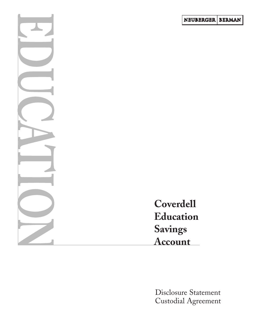

Disclosure Statement Custodial Agreement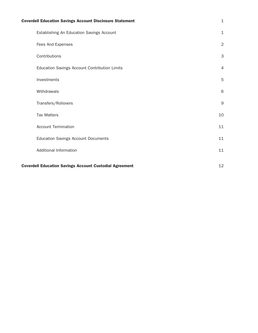| <b>Coverdell Education Savings Account Disclosure Statement</b> | $\mathbf{1}$   |
|-----------------------------------------------------------------|----------------|
| Establishing An Education Savings Account                       | $\mathbf{1}$   |
| Fees And Expenses                                               | $\overline{2}$ |
| Contributions                                                   | $\mathsf{3}$   |
| Education Savings Account Contribution Limits                   | $\overline{4}$ |
| Investments                                                     | $\mathbf 5$    |
| Withdrawals                                                     | 6              |
| Transfers/Rollovers                                             | $\mathsf 9$    |
| <b>Tax Matters</b>                                              | 10             |
| <b>Account Termination</b>                                      | 11             |
| <b>Education Savings Account Documents</b>                      | 11             |
| Additional Information                                          | 11             |
| <b>Coverdell Education Savings Account Custodial Agreement</b>  | 12             |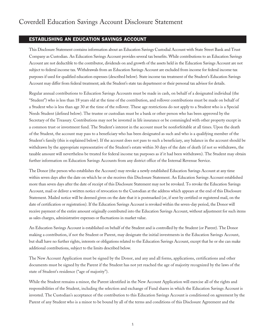# ESTABLISHING AN EDUCATION SAVINGS ACCOUNT

This Disclosure Statement contains information about an Education Savings Custodial Account with State Street Bank and Trust Company as Custodian. An Education Savings Account provides several tax benefits. While contributions to an Education Savings Account are not deductible to the contributor, dividends on and growth of the assets held in the Education Savings Account are not subject to federal income tax. Withdrawals from an Education Savings Account are excluded from income for federal income tax purposes if used for qualified education expenses (described below). State income tax treatment of the Student's Education Savings Account may differ from federal treatment; ask the Student's state tax department or their personal tax advisor for details.

Regular annual contributions to Education Savings Accounts must be made in cash, on behalf of a designated individual (the "Student") who is less than 18 years old at the time of the contribution, and rollover contributions must be made on behalf of a Student who is less than age 30 at the time of the rollover. These age restrictions do not apply to a Student who is a Special Needs Student (defined below). The trustee or custodian must be a bank or other person who has been approved by the Secretary of the Treasury. Contributions may not be invested in life insurance or be commingled with other property except in a common trust or investment fund. The Student's interest in the account must be nonforfeitable at all times. Upon the death of the Student, the account may pass to a beneficiary who has been designated as such and who is a qualifying member of the Student's family (this is explained below). If the account does not pass to such a beneficiary, any balance in the account should be withdrawn by the appropriate representative of the Student's estate within 30 days of the date of death (if not so withdrawn, the taxable amount will nevertheless be treated for federal income tax purposes as if it had been withdrawn). The Student may obtain further information on Education Savings Accounts from any district office of the Internal Revenue Service.

The Donor (the person who establishes the Account) may revoke a newly established Education Savings Account at any time within seven days after the date on which he or she receives this Disclosure Statement. An Education Savings Account established more than seven days after the date of receipt of this Disclosure Statement may not be revoked. To revoke the Education Savings Account, mail or deliver a written notice of revocation to the Custodian at the address which appears at the end of this Disclosure Statement. Mailed notice will be deemed given on the date that it is postmarked (or, if sent by certified or registered mail, on the date of certification or registration). If the Education Savings Account is revoked within the seven-day period, the Donor will receive payment of the entire amount originally contributed into the Education Savings Account, without adjustment for such items as sales charges, administrative expenses or fluctuations in market value.

An Education Savings Account is established on behalf of the Student and is controlled by the Student (or Parent). The Donor making a contribution, if not the Student or Parent, may designate the initial investments in the Education Savings Account, but shall have no further rights, interests or obligations related to the Education Savings Account, except that he or she can make additional contributions, subject to the limits described below.

The New Account Application must be signed by the Donor, and any and all forms, applications, certifications and other documents must be signed by the Parent if the Student has not yet reached the age of majority recognized by the laws of the state of Student's residence ("age of majority").

While the Student remains a minor, the Parent identified in the New Account Application will exercise all of the rights and responsibilities of the Student, including the selection and exchange of Fund shares in which the Education Savings Account is invested. The Custodian's acceptance of the contribution to this Education Savings Account is conditioned on agreement by the Parent of any Student who is a minor to be bound by all of the terms and conditions of this Disclosure Agreement and the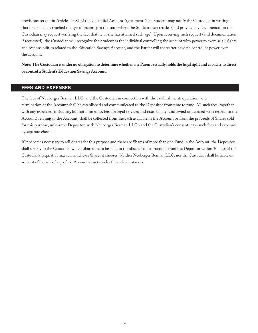provisions set out in Articles I-XI of the Custodial Account Agreement. The Student may notify the Custodian in writing that he or she has reached the age of majority in the state where the Student then resides (and provide any documentation the Custodian may request verifying the fact that he or she has attained such age). Upon receiving such request (and documentation, if requested), the Custodian will recognize the Student as the individual controlling the account with power to exercise all rights and responsibilities related to the Education Savings Account, and the Parent will thereafter have no control or power over the account.

**Note: The Custodian is under no obligation to determine whether any Parent actually holds the legal right and capacity to direct or control a Student's Education Savings Account.** 

# FEES AND EXPENSES

The fees of Neuberger Berman LLC. and the Custodian in connection with the establishment, operation, and termination of the Account shall be established and communicated to the Depositor from time to time. All such fees, together with any expenses (including, but not limited to, fees for legal services and taxes of any kind levied or assessed with respect to the Account) relating to the Account, shall be collected from the cash available in the Account or from the proceeds of Shares sold for this purpose, unless the Depositor, with Neuberger Berman LLC's and the Custodian's consent, pays such fees and expenses by separate check.

If it becomes necessary to sell Shares for this purpose and there are Shares of more than one Fund in the Account, the Depositor shall specify to the Custodian which Shares are to be sold; in the absence of instructions from the Depositor within 10 days of the Custodian's request, it may sell whichever Shares it chooses. Neither Neuberger Berman LLC. nor the Custodian shall be liable on account of the sale of any of the Account's assets under these circumstances.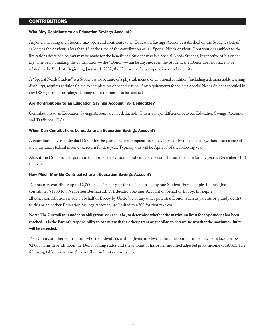# CONTRIBUTIONS

#### Who May Contribute to an Education Savings Account?

Anyone, including the Student, may open and contribute to an Education Savings Account established on the Student's behalf, as long as the Student is less than 18 at the time of the contribution or is a Special Needs Student. Contributions (subject to the limitations described below) may be made for the benefit of a Student who is a Special Needs Student, irrespective of his or her age. The person making the contribution—the "Donor"—can be anyone, even the Student; the Donor does not have to be related to the Student. Beginning January 1, 2002, the Donor may be a corporation or other entity.

A "Special Needs Student" is a Student who, because of a physical, mental or emotional condition (including a demonstrable learning disability), requires additional time to complete his or her education. Any requirements for being a Special Needs Student specified in any IRS regulations or rulings defining this term must also be satisfied.

#### Are Contributions to an Education Savings Account Tax Deductible?

Contributions to an Education Savings Account are not deductible. This is a major difference between Education Savings Accounts and Traditional IRAs.

#### When Can Contributions be made to an Education Savings Account?

A contribution by an individual Donor for the year 2002 or subsequent years may be made by the due date (without extensions) of the individual's federal income tax return for that year. Typically this will be April 15 of the following year.

Also, if the Donor is a corporation or another entity (not an individual), the contribution due date for any year is December 31 of that year.

#### How Much May Be Contributed to an Education Savings Account?

Donors may contribute up to \$2,000 in a calendar year for the benefit of any one Student. For example, if Uncle Joe contributes \$1300 to a Neuberger Berman LLC. Education Savings Account on behalf of Bobby, his nephew, all other contributions made on behalf of Bobby by Uncle Joe or any other potential Donor (such as parents or grandparents) to this or any other Education Savings Account, are limited to \$700 for that tax year.

# **Note: The Custodian is under no obligation, nor can it be, to determine whether the maximum limit for any Student has been reached. It is the Parent's responsibility to consult with the other parent or guardian to determine whether the maximum limits will be exceeded.**

For Donors or other contributors who are individuals with high-income levels, the contribution limits may be reduced below \$2,000. This depends upon the Donor's filing status and the amount of his or her modified adjusted gross income (MAGI). The following table shows how the contribution limits are restricted.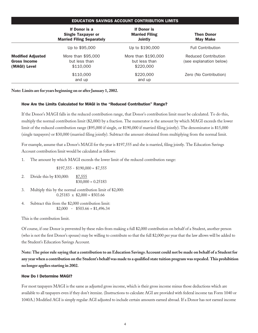## EDUCATION SAVINGS ACCOUNT CONTRIBUTION LIMITS

|                                                                 | If Donor is a<br><b>Single Taxpayer or</b><br><b>Married Filing Separately</b> | <b>If Donor is</b><br><b>Married Filing</b><br><b>Jointly</b> | <b>Then Donor</b><br><b>May Make</b>            |
|-----------------------------------------------------------------|--------------------------------------------------------------------------------|---------------------------------------------------------------|-------------------------------------------------|
|                                                                 | Up to \$95,000                                                                 | Up to \$190,000                                               | <b>Full Contribution</b>                        |
| <b>Modified Adjusted</b><br><b>Gross Income</b><br>(MAGI) Level | More than \$95,000<br>but less than<br>\$110,000                               | More than \$190,000<br>but less than<br>\$220,000             | Reduced Contribution<br>(see explanation below) |
|                                                                 | \$110,000<br>and up                                                            | \$220,000<br>and up                                           | Zero (No Contribution)                          |

**Note: Limits are for years beginning on or after January 1, 2002.** 

## How Are the Limits Calculated for MAGI in the "Reduced Contribution" Range?

If the Donor's MAGI falls in the reduced contribution range, that Donor's contribution limit must be calculated. To do this, multiply the normal contribution limit (\$2,000) by a fraction. The numerator is the amount by which MAGI exceeds the lower limit of the reduced contribution range (\$95,000 if single, or \$190,000 if married filing jointly). The denominator is \$15,000 (single taxpayers) or \$30,000 (married filing jointly). Subtract the amount obtained from multiplying from the normal limit.

For example, assume that a Donor's MAGI for the year is \$197,555 and she is married, filing jointly. The Education Savings Account contribution limit would be calculated as follows:

1. The amount by which MAGI exceeds the lower limit of the reduced contribution range:

 $$197,555 - $190,000 = $7,555$ 

- 2. Divide this by \$30,000: \$7,555  $$30,000 = 0.25183$
- 3. Multiply this by the normal contribution limit of \$2,000:  $0.25183 \times \$2,000 = \$503.66$
- 4. Subtract this from the \$2,000 contribution limit:  $$2,000 - $503.66 = $1,496.34$

This is the contribution limit.

Of course, if one Donor is prevented by these rules from making a full \$2,000 contribution on behalf of a Student, another person (who is not the first Donor's spouse) may be willing to contribute so that the full \$2,000 per year that the law allows will be added to the Student's Education Savings Account.

**Note: The prior rule saying that a contribution to an Education Savings Account could not be made on behalf of a Student for any year when a contribution on the Student's behalf was made to a qualified state tuition program was repealed. This prohibition no longer applies starting in 2002.**

## How Do I Determine MAGI?

For most taxpayers MAGI is the same as adjusted gross income, which is their gross income minus those deductions which are available to all taxpayers even if they don't itemize. (Instructions to calculate AGI are provided with federal income tax Form 1040 or 1040A.) Modified AGI is simply regular AGI adjusted to include certain amounts earned abroad. If a Donor has not earned income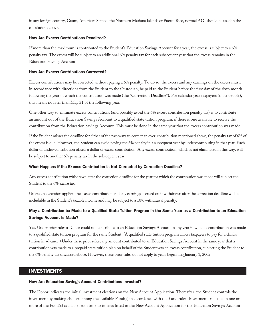in any foreign country, Guam, American Samoa, the Northern Mariana Islands or Puerto Rico, normal AGI should be used in the calculations above.

#### How Are Excess Contributions Penalized?

If more than the maximum is contributed to the Student's Education Savings Account for a year, the excess is subject to a 6% penalty tax. The excess will be subject to an additional 6% penalty tax for each subsequent year that the excess remains in the Education Savings Account.

#### How Are Excess Contributions Corrected?

Excess contributions may be corrected without paying a 6% penalty. To do so, the excess and any earnings on the excess must, in accordance with directions from the Student to the Custodian, be paid to the Student before the first day of the sixth month following the year in which the contribution was made (the "Correction Deadline"). For calendar year taxpayers (most people), this means no later than May 31 of the following year.

One other way to eliminate excess contributions (and possibly avoid the 6% excess contribution penalty tax) is to contribute an amount out of the Education Savings Account to a qualified state tuition program, if there is one available to receive the contribution from the Education Savings Account. This must be done in the same year that the excess contribution was made.

If the Student misses the deadline for either of the two ways to correct an over-contribution mentioned above, the penalty tax of 6% of the excess is due. However, the Student can avoid paying the 6% penalty in a subsequent year by undercontributing in that year. Each dollar of under-contribution offsets a dollar of excess contribution. Any excess contribution, which is not eliminated in this way, will be subject to another 6% penalty tax in the subsequent year.

#### What Happens if the Excess Contribution Is Not Corrected by Correction Deadline?

Any excess contribution withdrawn after the correction deadline for the year for which the contribution was made will subject the Student to the 6% excise tax.

Unless an exception applies, the excess contribution and any earnings accrued on it withdrawn after the correction deadline will be includable in the Student's taxable income and may be subject to a 10% withdrawal penalty.

# May a Contribution be Made to a Qualified State Tuition Program in the Same Year as a Contribution to an Education Savings Account Is Made?

Yes. Under prior rules a Donor could not contribute to an Education Savings Account in any year in which a contribution was made to a qualified state tuition program for the same Student. (A qualified state tuition program allows taxpayers to pay for a child's tuition in advance.) Under these prior rules, any amount contributed to an Education Savings Account in the same year that a contribution was made to a prepaid state tuition plan on behalf of the Student was an excess contribution, subjecting the Student to the 6% penalty tax discussed above. However, these prior rules do not apply to years beginning January 1, 2002.

## INVESTMENTS

#### How Are Education Savings Account Contributions Invested?

The Donor indicates the initial investment elections on the New Account Application. Thereafter, the Student controls the investment by making choices among the available Fund(s) in accordance with the Fund rules. Investments must be in one or more of the Fund(s) available from time to time as listed in the New Account Application for the Education Savings Account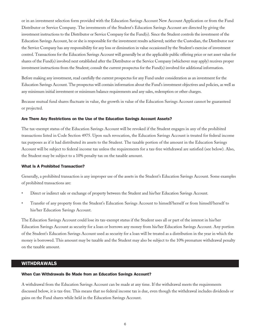or in an investment selection form provided with the Education Savings Account New Account Application or from the Fund Distributor or Service Company. The investments of the Student's Education Savings Account are directed by giving the investment instructions to the Distributor or Service Company for the Fund(s). Since the Student controls the investment of the Education Savings Account, he or she is responsible for the investment results achieved; neither the Custodian, the Distributor nor the Service Company has any responsibility for any loss or diminution in value occasioned by the Student's exercise of investment control. Transactions for the Education Savings Account will generally be at the applicable public offering price or net asset value for shares of the Fund(s) involved next established after the Distributor or the Service Company (whichever may apply) receives proper investment instructions from the Student; consult the current prospectus for the Fund(s) involved for additional information.

Before making any investment, read carefully the current prospectus for any Fund under consideration as an investment for the Education Savings Account. The prospectus will contain information about the Fund's investment objectives and policies, as well as any minimum initial investment or minimum balance requirements and any sales, redemption or other charges.

Because mutual fund shares fluctuate in value, the growth in value of the Education Savings Account cannot be guaranteed or projected.

#### Are There Any Restrictions on the Use of the Education Savings Account Assets?

The tax-exempt status of the Education Savings Account will be revoked if the Student engages in any of the prohibited transactions listed in Code Section 4975. Upon such revocation, the Education Savings Account is treated for federal income tax purposes as if it had distributed its assets to the Student. The taxable portion of the amount in the Education Savings Account will be subject to federal income tax unless the requirements for a tax-free withdrawal are satisfied (see below). Also, the Student may be subject to a 10% penalty tax on the taxable amount.

#### What Is A Prohibited Transaction?

Generally, a prohibited transaction is any improper use of the assets in the Student's Education Savings Account. Some examples of prohibited transactions are:

- Direct or indirect sale or exchange of property between the Student and his/her Education Savings Account.
- Transfer of any property from the Student's Education Savings Account to himself/herself or from himself/herself to his/her Education Savings Account.

The Education Savings Account could lose its tax-exempt status if the Student uses all or part of the interest in his/her Education Savings Account as security for a loan or borrows any money from his/her Education Savings Account. Any portion of the Student's Education Savings Account used as security for a loan will be treated as a distribution in the year in which the money is borrowed. This amount may be taxable and the Student may also be subject to the 10% premature withdrawal penalty on the taxable amount.

# WITHDRAWALS

#### When Can Withdrawals Be Made from an Education Savings Account?

A withdrawal from the Education Savings Account can be made at any time. If the withdrawal meets the requirements discussed below, it is tax-free. This means that no federal income tax is due, even though the withdrawal includes dividends or gains on the Fund shares while held in the Education Savings Account.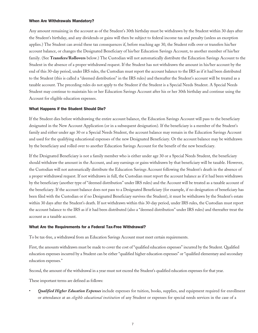#### When Are Withdrawals Mandatory?

Any amount remaining in the account as of the Student's 30th birthday must be withdrawn by the Student within 30 days after the Student's birthday, and any dividends or gains will then be subject to federal income tax and penalty (unless an exception applies.) The Student can avoid these tax consequences if, before reaching age 30, the Student rolls over or transfers his/her account balance, or changes the Designated Beneficiary of his/her Education Savings Account, to another member of his/her family. (See **Transfers/Rollovers** below.) The Custodian will not automatically distribute the Education Savings Account to the Student in the absence of a proper withdrawal request. If the Student has not withdrawn the amount in his/her account by the end of this 30-day period, under IRS rules, the Custodian must report the account balance to the IRS as if it had been distributed to the Student (this is called a "deemed distribution" in the IRS rules) and thereafter the Student's account will be treated as a taxable account. The preceding rules do not apply to the Student if the Student is a Special Needs Student. A Special Needs Student may continue to maintain his or her Education Savings Account after his or her 30th birthday and continue using the Account for eligible education expenses.

#### What Happens if the Student Should Die?

If the Student dies before withdrawing the entire account balance, the Education Savings Account will pass to the beneficiary designated in the New Account Application (or in a subsequent designation). If the beneficiary is a member of the Student's family and either under age 30 or a Special Needs Student, the account balance may remain in the Education Savings Account and used for the qualifying educational expenses of the new Designated Beneficiary. Or the account balance may be withdrawn by the beneficiary and rolled over to another Education Savings Account for the benefit of the new beneficiary.

If the Designated Beneficiary is not a family member who is either under age 30 or a Special Needs Student, the beneficiary should withdraw the amount in the Account, and any earnings or gains withdrawn by that beneficiary will be taxable. However, the Custodian will not automatically distribute the Education Savings Account following the Student's death in the absence of a proper withdrawal request. If not withdrawn in full, the Custodian must report the account balance as if it had been withdrawn by the beneficiary (another type of "deemed distribution" under IRS rules) and the Account will be treated as a taxable account of the beneficiary. If the account balance does not pass to a Designated Beneficiary (for example, if no designation of beneficiary has been filed with the Custodian or if no Designated Beneficiary survives the Student), it must be withdrawn by the Student's estate within 30 days after the Student's death. If not withdrawn within this 30-day period, under IRS rules, the Custodian must report the account balance to the IRS as if it had been distributed (also a "deemed distribution" under IRS rules) and thereafter treat the account as a taxable account.

#### What Are the Requirements for a Federal Tax-Free Withdrawal?

To be tax-free, a withdrawal from an Education Savings Account must meet certain requirements.

First, the amounts withdrawn must be made to cover the cost of "qualified education expenses" incurred by the Student. Qualified education expenses incurred by a Student can be either "qualified higher education expenses" or "qualified elementary and secondary education expenses."

Second, the amount of the withdrawal in a year must not exceed the Student's qualified education expenses for that year.

These important terms are defined as follows:

• *Qualified Higher Education Expenses* include expenses for tuition, books, supplies, and equipment required for enrollment or attendance at an *eligible educational institution* of any Student or expenses for special needs services in the case of a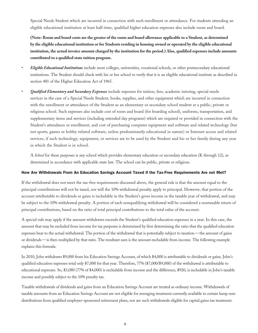Special Needs Student which are incurred in connection with such enrollment or attendance. For students attending an eligible educational institution at least half-time, qualified higher education expenses also include room and board.

**(Note: Room and board costs are the greater of the room and board allowance applicable to a Student, as determined by the eligible educational institution or for Students residing in housing owned or operated by the eligible educational institution, the actual invoice amount charged by the institution for the period.) Also, qualified expenses include amounts contributed to a qualified state tuition program.** 

- *Eligible Educational Institutions* include most colleges, universities, vocational schools, or other postsecondary educational institutions. The Student should check with his or her school to verify that it is an eligible educational institute as described in section 481 of the Higher Education Act of 1965.
- *Qualified Elementary and Secondary Expenses* include expenses for tuition, fees, academic tutoring, special needs services in the case of a Special Needs Student, books, supplies, and other equipment which are incurred in connection with the enrollment or attendance of the Student as an elementary or secondary school student at a public, private or religious school. Such expenses also include cost of room and board (for boarding school), uniforms, transportation, and supplementary items and services (including extended day programs) which are required or provided in connection with the Student's attendance or enrollment, and cost of purchasing computer equipment and software and related technology (but not sports, games or hobby-related software, unless predominantly educational in nature) or Internet access and related services, if such technology, equipment, or services are to be used by the Student and his or her family during any year in which the Student is in school.

A *School* for these purposes is any school which provides elementary education or secondary education (K through 12), as determined in accordance with applicable state law. The school can be public, private or religious.

## How Are Withdrawals From An Education Savings Account Taxed if the Tax-Free Requirements Are not Met?

If the withdrawal does not meet the tax-free requirements discussed above, the general rule is that the amount equal to the principal contributions will not be taxed, nor will the 10% withdrawal penalty apply to principal. However, that portion of the account attributable to dividends or gains is includable in the Student's gross income in the taxable year of withdrawal, and may be subject to the 10% withdrawal penalty. A portion of each nonqualifying withdrawal will be considered a nontaxable return of principal contributions, based on the ratio of total principal contributions to the total value of the account.

A special rule may apply if the amount withdrawn exceeds the Student's qualified education expenses in a year. In this case, the amount that may be excluded from income for tax purposes is determined by first determining the ratio that the qualified education expenses bear to the actual withdrawal. The portion of the withdrawal that is potentially subject to taxation—the amount of gains or dividends—is then multiplied by that ratio. The resultant sum is the amount excludable from income. The following example explains this formula:

In 2010, John withdraws \$9,000 from his Education Savings Account, of which \$4,000 is attributable to dividends or gains. John's qualified education expenses total only \$7,000 for that year. Therefore, 77% (\$7,000/\$9,000) of the withdrawal is attributable to educational expenses. So, \$3,080 (77% of \$4,000) is excludable from income and the difference, \$920, is includable in John's taxable income and possibly subject to the 10% penalty tax.

Taxable withdrawals of dividends and gains from an Education Savings Account are treated as ordinary income. Withdrawals of taxable amounts from an Education Savings Account are not eligible for averaging treatment currently available to certain lump sum distributions from qualified employer-sponsored retirement plans, nor are such withdrawals eligible for capital gains tax treatment.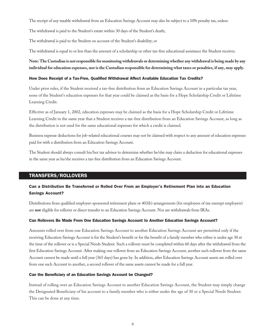The receipt of any taxable withdrawal from an Education Savings Account may also be subject to a 10% penalty tax, unless:

The withdrawal is paid to the Student's estate within 30 days of the Student's death;

The withdrawal is paid to the Student on account of the Student's disability; or

The withdrawal is equal to or less than the amount of a scholarship or other tax-free educational assistance the Student receives.

**Note: The Custodian is not responsible for monitoring withdrawals or determining whether any withdrawal is being made by any individual for education expenses, nor is the Custodian responsible for determining what taxes or penalties, if any, may apply.**

#### How Does Receipt of a Tax-Free, Qualified Withdrawal Affect Available Education Tax Credits?

Under prior rules, if the Student received a tax-free distribution from an Education Savings Account in a particular tax year, none of the Student's education expenses for that year could be claimed as the basis for a Hope Scholarship Credit or Lifetime Learning Credit.

Effective as of January 1, 2002, education expenses may be claimed as the basis for a Hope Scholarship Credit or Lifetime Learning Credit in the same year that a Student receives a tax-free distribution from an Education Savings Account, as long as the distribution is not used for the same educational expenses for which a credit is claimed.

Business expense deductions for job-related educational courses may not be claimed with respect to any amount of education expenses paid for with a distribution from an Education Savings Account.

The Student should always consult his/her tax advisor to determine whether he/she may claim a deduction for educational expenses in the same year as he/she receives a tax-free distribution from an Education Savings Account.

# TRANSFERS/ROLLOVERS

# Can a Distribution Be Transferred or Rolled Over From an Employer's Retirement Plan into an Education Savings Account?

Distributions from qualified employer-sponsored retirement plans or 403(b) arrangements (for employees of tax-exempt employers) are **not** eligible for rollover or direct transfer to an Education Savings Account. Nor are withdrawals from IRAs.

## Can Rollovers Be Made From One Education Savings Account to Another Education Savings Account?

Amounts rolled over from one Education Savings Account to another Education Savings Account are permitted only if the receiving Education Savings Account is for the Student's benefit or for the benefit of a family member who either is under age 30 at the time of the rollover or is a Special Needs Student. Such a rollover must be completed within 60 days after the withdrawal from the first Education Savings Account. After making one rollover from an Education Savings Account, another such rollover from the same Account cannot be made until a full year (365 days) has gone by. In addition, after Education Savings Account assets are rolled over from one such Account to another, a second rollover of the same assets cannot be made for a full year.

## Can the Beneficiary of an Education Savings Account be Changed?

Instead of rolling over an Education Savings Account to another Education Savings Account, the Student may simply change the Designated Beneficiary of his account to a family member who is either under the age of 30 or a Special Needs Student. This can be done at any time.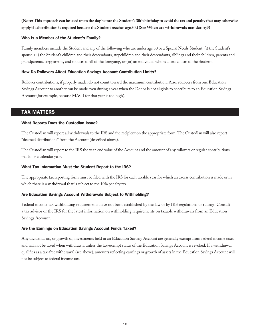# **(Note: This approach can be used up to the day before the Student's 30th birthday to avoid the tax and penalty that may otherwise apply if a distribution is required because the Student reaches age 30.) (See When are withdrawals mandatory?)**

## Who Is a Member of the Student's Family?

Family members include the Student and any of the following who are under age 30 or a Special Needs Student: (i) the Student's spouse, (ii) the Student's children and their descendants, stepchildren and their descendants, siblings and their children, parents and grandparents, stepparents, and spouses of all of the foregoing, or (iii) an individual who is a first cousin of the Student.

## How Do Rollovers Affect Education Savings Account Contribution Limits?

Rollover contributions, if properly made, do not count toward the maximum contribution. Also, rollovers from one Education Savings Account to another can be made even during a year when the Donor is not eligible to contribute to an Education Savings Account (for example, because MAGI for that year is too high).

# TAX MATTERS

## What Reports Does the Custodian Issue?

The Custodian will report all withdrawals to the IRS and the recipient on the appropriate form. The Custodian will also report "deemed distributions" from the Account (described above).

The Custodian will report to the IRS the year-end value of the Account and the amount of any rollovers or regular contributions made for a calendar year.

## What Tax Information Must the Student Report to the IRS?

The appropriate tax reporting form must be filed with the IRS for each taxable year for which an excess contribution is made or in which there is a withdrawal that is subject to the 10% penalty tax.

# Are Education Savings Account Withdrawals Subject to Withholding?

Federal income tax withholding requirements have not been established by the law or by IRS regulations or rulings. Consult a tax advisor or the IRS for the latest information on withholding requirements on taxable withdrawals from an Education Savings Account.

# Are the Earnings on Education Savings Account Funds Taxed?

Any dividends on, or growth of, investments held in an Education Savings Account are generally exempt from federal income taxes and will not be taxed when withdrawn, unless the tax-exempt status of the Education Savings Account is revoked. If a withdrawal qualifies as a tax-free withdrawal (see above), amounts reflecting earnings or growth of assets in the Education Savings Account will not be subject to federal income tax.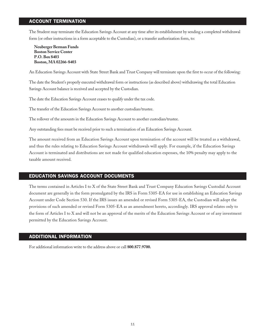# ACCOUNT TERMINATION

The Student may terminate the Education Savings Account at any time after its establishment by sending a completed withdrawal form (or other instructions in a form acceptable to the Custodian), or a transfer authorization form, to:

**Neuberger Berman Funds Boston Service Center P.O. Box 8403 Boston, MA 02266-8403**

An Education Savings Account with State Street Bank and Trust Company will terminate upon the first to occur of the following:

The date the Student's properly executed withdrawal form or instructions (as described above) withdrawing the total Education Savings Account balance is received and accepted by the Custodian.

The date the Education Savings Account ceases to qualify under the tax code.

The transfer of the Education Savings Account to another custodian/trustee.

The rollover of the amounts in the Education Savings Account to another custodian/trustee.

Any outstanding fees must be received prior to such a termination of an Education Savings Account.

The amount received from an Education Savings Account upon termination of the account will be treated as a withdrawal, and thus the rules relating to Education Savings Account withdrawals will apply. For example, if the Education Savings Account is terminated and distributions are not made for qualified education expenses, the 10% penalty may apply to the taxable amount received.

# EDUCATION SAVINGS ACCOUNT DOCUMENTS

The terms contained in Articles I to X of the State Street Bank and Trust Company Education Savings Custodial Account document are generally in the form promulgated by the IRS in Form 5305-EA for use in establishing an Education Savings Account under Code Section 530. If the IRS issues an amended or revised Form 5305-EA, the Custodian will adopt the provisions of such amended or revised Form 5305-EA as an amendment hereto, accordingly. IRS approval relates only to the form of Articles I to X and will not be an approval of the merits of the Education Savings Account or of any investment permitted by the Education Savings Account.

## ADDITIONAL INFORMATION

For additional information write to the address above or call **800.877.9700.**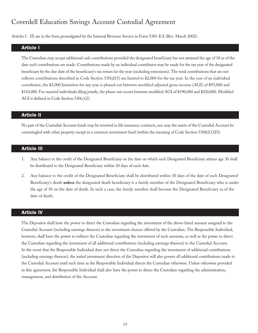# Coverdell Education Savings Account Custodial Agreement

Articles I - IX are in the form promulgated by the Internal Revenue Service in Form 5305-EA (Rev. March 2002).

## Article I

The Custodian may accept additional cash contributions provided the designated beneficiary has not attained the age of 18 as of the date such contributions are made. Contributions made by an individual contributor may be made for the tax year of the designated beneficiary by the due date of the beneficiary's tax return for the year (excluding extensions). The total contributions that are not rollover contributions described in Code Section  $530(d)(5)$  are limited to \$2,000 for the tax year. In the case of an individual contributor, the \$2,000 limitation for any year is phased out between modified adjusted gross income (AGI) of \$95,000 and \$110,000. For married individuals filing jointly, the phase-out occurs between modified AGI of \$190,000 and \$220,000. Modified AGI is defined in Code Section 530(c)(2).

## Article II

No part of the Custodial Account funds may be invested in life insurance contracts, nor may the assets of the Custodial Account be commingled with other property except in a common investment fund (within the meaning of Code Section 530(b)(1)(D).

## Article III

- 1. Any balance to the credit of the Designated Beneficiary on the date on which such Designated Beneficiary attains age 30 shall be distributed to the Designated Beneficiary within 30 days of such date.
- 2. Any balance to the credit of the Designated Beneficiary shall be distributed within 30 days of the date of such Designated Beneficiary's death **unless** the designated death beneficiary is a family member of the Designated Beneficiary who is under the age of 30 on the date of death. In such a case, the family member shall become the Designated Beneficiary as of the date of death.

# Article IV

The Depositor shall have the power to direct the Custodian regarding the investment of the above-listed amount assigned to the Custodial Account (including earnings thereon) in the investment choices offered by the Custodian. The Responsible Individual, however, shall have the power to redirect the Custodian regarding the investment of such amounts, as well as the power to direct the Custodian regarding the investment of all additional contributions (including earnings thereon) to the Custodial Account. In the event that the Responsible Individual does not direct the Custodian regarding the investment of additional contributions (including earnings thereon), the initial investment direction of the Depositor will also govern all additional contributions made to the Custodial Account until such time as the Responsible Individual directs the Custodian otherwise. Unless otherwise provided in this agreement, the Responsible Individual shall also have the power to direct the Custodian regarding the administration, management, and distribution of the Account.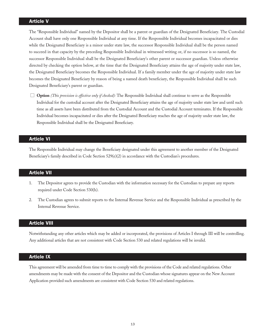# Article V

The "Responsible Individual" named by the Depositor shall be a parent or guardian of the Designated Beneficiary. The Custodial Account shall have only one Responsible Individual at any time. If the Responsible Individual becomes incapacitated or dies while the Designated Beneficiary is a minor under state law, the successor Responsible Individual shall be the person named to succeed in that capacity by the preceding Responsible Individual in witnessed writing or, if no successor is so named, the successor Responsible Individual shall be the Designated Beneficiary's other parent or successor guardian. Unless otherwise directed by checking the option below, at the time that the Designated Beneficiary attains the age of majority under state law, the Designated Beneficiary becomes the Responsible Individual. If a family member under the age of majority under state law becomes the Designated Beneficiary by reason of being a named death beneficiary, the Responsible Individual shall be such Designated Beneficiary's parent or guardian.

**Deption** *(This provision is effective only if checked):* The Responsible Individual shall continue to serve as the Responsible Individual for the custodial account after the Designated Beneficiary attains the age of majority under state law and until such time as all assets have been distributed from the Custodial Account and the Custodial Account terminates. If the Responsible Individual becomes incapacitated or dies after the Designated Beneficiary reaches the age of majority under state law, the Responsible Individual shall be the Designated Beneficiary.

## Article VI

The Responsible Individual may change the Beneficiary designated under this agreement to another member of the Designated Beneficiary's family described in Code Section 529(e)(2) in accordance with the Custodian's procedures.

## Article VII

- 1. The Depositor agrees to provide the Custodian with the information necessary for the Custodian to prepare any reports required under Code Section 530(h).
- 2. The Custodian agrees to submit reports to the Internal Revenue Service and the Responsible Individual as prescribed by the Internal Revenue Service.

#### Article VIII

Notwithstanding any other articles which may be added or incorporated, the provisions of Articles I through III will be controlling. Any additional articles that are not consistent with Code Section 530 and related regulations will be invalid.

# **Article IX**

This agreement will be amended from time to time to comply with the provisions of the Code and related regulations. Other amendments may be made with the consent of the Depositor and the Custodian whose signatures appear on the New Account Application provided such amendments are consistent with Code Section 530 and related regulations.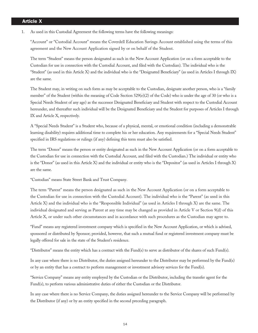# **Article X**

1. As used in this Custodial Agreement the following terms have the following meanings:

"Account" or "Custodial Account" means the Coverdell Education Savings Account established using the terms of this agreement and the New Account Application signed by or on behalf of the Student.

The term "Student" means the person designated as such in the New Account Application (or on a form acceptable to the Custodian for use in connection with the Custodial Account, and filed with the Custodian). The individual who is the "Student" (as used in this Article X) and the individual who is the "Designated Beneficiary" (as used in Articles I through IX) are the same.

The Student may, in writing on such form as may be acceptable to the Custodian, designate another person, who is a "family member" of the Student (within the meaning of Code Section 529(e)(2) of the Code) who is under the age of 30 (or who is a Special Needs Student of any age) as the successor Designated Beneficiary and Student with respect to the Custodial Account hereunder, and thereafter such individual will be the Designated Beneficiary and the Student for purposes of Articles I through IX and Article X, respectively.

A "Special Needs Student" is a Student who, because of a physical, mental, or emotional condition (including a demonstrable learning disability) requires additional time to complete his or her education. Any requirements for a "Special Needs Student" specified in IRS regulations or rulings (if any) defining this term must also be satisfied.

The term "Donor" means the person or entity designated as such in the New Account Application (or on a form acceptable to the Custodian for use in connection with the Custodial Account, and filed with the Custodian.) The individual or entity who is the "Donor" (as used in this Article X) and the individual or entity who is the "Depositor" (as used in Articles I through X) are the same.

"Custodian" means State Street Bank and Trust Company.

The term "Parent" means the person designated as such in the New Account Application (or on a form acceptable to the Custodian for use in connection with the Custodial Account). The individual who is the "Parent" (as used in this Article X) and the individual who is the "Responsible Individual" (as used in Articles I through X) are the same. The individual designated and serving as Parent at any time may be changed as provided in Article V or Section 9(d) of this Article X, or under such other circumstances and in accordance with such procedures as the Custodian may agree to.

"Fund" means any registered investment company which is specified in the New Account Application, or which is advised, sponsored or distributed by Sponsor; provided, however, that such a mutual fund or registered investment company must be legally offered for sale in the state of the Student's residence.

"Distributor" means the entity which has a contract with the Fund(s) to serve as distributor of the shares of such Fund(s).

In any case where there is no Distributor, the duties assigned hereunder to the Distributor may be performed by the Fund(s) or by an entity that has a contract to perform management or investment advisory services for the Fund(s).

"Service Company" means any entity employed by the Custodian or the Distributor, including the transfer agent for the Fund(s), to perform various administrative duties of either the Custodian or the Distributor.

In any case where there is no Service Company, the duties assigned hereunder to the Service Company will be performed by the Distributor (if any) or by an entity specified in the second preceding paragraph.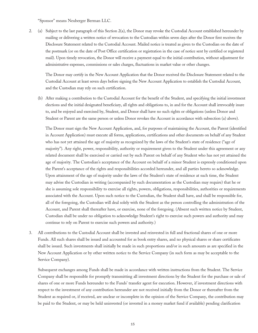"Sponsor" means Neuberger Berman LLC.

2. (a) Subject to the last paragraph of this Section 2(a), the Donor may revoke the Custodial Account established hereunder by mailing or delivering a written notice of revocation to the Custodian within seven days after the Donor first receives the Disclosure Statement related to the Custodial Account. Mailed notice is treated as given to the Custodian on the date of the postmark (or on the date of Post Office certification or registration in the case of notice sent by certified or registered mail). Upon timely revocation, the Donor will receive a payment equal to the initial contribution, without adjustment for administrative expenses, commissions or sales charges, fluctuations in market value or other changes.

 The Donor may certify in the New Account Application that the Donor received the Disclosure Statement related to the Custodial Account at least seven days before signing the New Account Application to establish the Custodial Account, and the Custodian may rely on such certification.

(b) After making a contribution to the Custodial Account for the benefit of the Student, and specifying the initial investment elections and the initial designated beneficiary, all rights and obligations to, in and for the Account shall irrevocably inure to, and be enjoyed and exercised by, Student, and Donor shall have no such rights or obligations (unless Donor and Student or Parent are the same person or unless Donor revokes the Account in accordance with subsection (a) above).

 The Donor must sign the New Account Application, and, for purposes of maintaining the Account, the Parent (identified in Account Application) must execute all forms, applications, certifications and other documents on behalf of any Student who has not yet attained the age of majority as recognized by the laws of the Student's state of residence ("age of majority"). Any right, power, responsibility, authority or requirement given to the Student under this agreement or any related document shall be exercised or carried out by such Parent on behalf of any Student who has not yet attained the age of majority. The Custodian's acceptance of the Account on behalf of a minor Student is expressly conditioned upon the Parent's acceptance of the rights and responsibilities accorded hereunder, and all parties hereto so acknowledge. Upon attainment of the age of majority under the laws of the Student's state of residence at such time, the Student may advise the Custodian in writing (accompanied by such documentation as the Custodian may require) that he or she is assuming sole responsibility to exercise all rights, powers, obligations, responsibilities, authorities or requirements associated with the Account. Upon such notice to the Custodian, the Student shall have, and shall be responsible for, all of the foregoing, the Custodian will deal solely with the Student as the person controlling the administration of the Account, and Parent shall thereafter have, or exercise, none of the foregoing. (Absent such written notice by Student, Custodian shall be under no obligation to acknowledge Student's right to exercise such powers and authority and may continue to rely on Parent to exercise such powers and authority.)

3. All contributions to the Custodial Account shall be invested and reinvested in full and fractional shares of one or more Funds. All such shares shall be issued and accounted for as book entry shares, and no physical shares or share certificates shall be issued. Such investments shall initially be made in such proportions and/or in such amounts as are specified in the New Account Application or by other written notice to the Service Company (in such form as may be acceptable to the Service Company).

Subsequent exchanges among Funds shall be made in accordance with written instructions from the Student. The Service Company shall be responsible for promptly transmitting all investment directions by the Student for the purchase or sale of shares of one or more Funds hereunder to the Funds' transfer agent for execution. However, if investment directions with respect to the investment of any contribution hereunder are not received initially from the Donor or thereafter from the Student as required or, if received, are unclear or incomplete in the opinion of the Service Company, the contribution may be paid to the Student, or may be held uninvested (or invested in a money market fund if available) pending clarification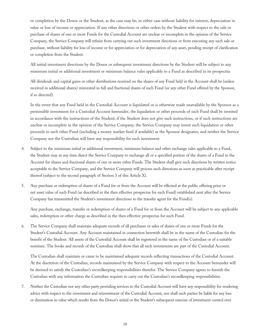or completion by the Donor or the Student, as the case may be, in either case without liability for interest, depreciation in value or loss of income or appreciation. If any other directions or other orders by the Student with respect to the sale or purchase of shares of one or more Funds for the Custodial Account are unclear or incomplete in the opinion of the Service Company, the Service Company will refrain from carrying out such investment directions or from executing any such sale or purchase, without liability for loss of income or for appreciation or for depreciation of any asset, pending receipt of clarification or completion from the Student.

All initial investment directions by the Donor or subsequent investment directions by the Student will be subject to any minimum initial or additional investment or minimum balance rules applicable to a Fund as described in its prospectus.

All dividends and capital gains or other distributions received on the shares of any Fund held in the Account shall be (unless received in additional shares) reinvested in full and fractional shares of such Fund (or any other Fund offered by the Sponsor, if so directed).

In the event that any Fund held in the Custodial Account is liquidated or is otherwise made unavailable by the Sponsor as a permissible investment for a Custodial Account hereunder, the liquidation or other proceeds of such Fund shall be invested in accordance with the instructions of the Student; if the Student does not give such instructions, or if such instructions are unclear or incomplete in the opinion of the Service Company, the Service Company may invest such liquidation or other proceeds in such other Fund (including a money market fund if available) as the Sponsor designates, and neither the Service Company nor the Custodian will have any responsibility for such investment.

- 4. Subject to the minimum initial or additional investment, minimum balance and other exchange rules applicable to a Fund, the Student may at any time direct the Service Company to exchange all or a specified portion of the shares of a Fund in the Account for shares and fractional shares of one or more other Funds. The Student shall give such directions by written notice acceptable to the Service Company, and the Service Company will process such directions as soon as practicable after receipt thereof (subject to the second paragraph of Section 3 of this Article X).
- 5. Any purchase or redemption of shares of a Fund for or from the Account will be effected at the public offering price or net asset value of such Fund (as described in the then effective prospectus for such Fund) established next after the Service Company has transmitted the Student's investment directions to the transfer agent for the Fund(s).

Any purchase, exchange, transfer or redemption of shares of a Fund for or from the Account will be subject to any applicable sales, redemption or other charge as described in the then effective prospectus for such Fund.

6. The Service Company shall maintain adequate records of all purchases or sales of shares of one or more Funds for the Student's Custodial Account. Any Account maintained in connection herewith shall be in the name of the Custodian for the benefit of the Student. All assets of the Custodial Account shall be registered in the name of the Custodian or of a suitable nominee. The books and records of the Custodian shall show that all such investments are part of the Custodial Account.

The Custodian shall maintain or cause to be maintained adequate records reflecting transactions of the Custodial Account. At the discretion of the Custodian, records maintained by the Service Company with respect to the Account hereunder will be deemed to satisfy the Custodian's recordkeeping responsibilities therefor. The Service Company agrees to furnish the Custodian with any information the Custodian requires to carry out the Custodian's recordkeeping responsibilities.

7. Neither the Custodian nor any other party providing services to the Custodial Account will have any responsibility for rendering advice with respect to the investment and reinvestment of the Custodial Account, nor shall such parties be liable for any loss or diminution in value which results from the Donor's initial or the Student's subsequent exercise of investment control over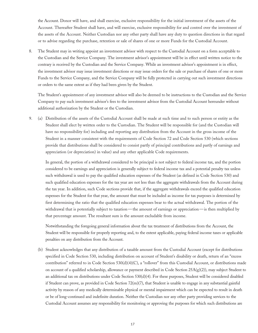the Account. Donor will have, and shall exercise, exclusive responsibility for the initial investment of the assets of the Account. Thereafter Student shall have, and will exercise, exclusive responsibility for and control over the investment of the assets of the Account. Neither Custodian nor any other party shall have any duty to question directions in that regard or to advise regarding the purchase, retention or sale of shares of one or more Funds for the Custodial Account.

8. The Student may in writing appoint an investment advisor with respect to the Custodial Account on a form acceptable to the Custodian and the Service Company. The investment advisor's appointment will be in effect until written notice to the contrary is received by the Custodian and the Service Company. While an investment advisor's appointment is in effect, the investment advisor may issue investment directions or may issue orders for the sale or purchase of shares of one or more Funds to the Service Company, and the Service Company will be fully protected in carrying out such investment directions or orders to the same extent as if they had been given by the Student.

The Student's appointment of any investment advisor will also be deemed to be instructions to the Custodian and the Service Company to pay such investment advisor's fees to the investment advisor from the Custodial Account hereunder without additional authorization by the Student or the Custodian.

9. (a) Distribution of the assets of the Custodial Account shall be made at such time and to such person or entity as the Student shall elect by written order to the Custodian. The Student will be responsible for (and the Custodian will have no responsibility for) including and reporting any distribution from the Account in the gross income of the Student in a manner consistent with the requirements of Code Section 72 and Code Section 530 (which sections provide that distributions shall be considered to consist partly of principal contributions and partly of earnings and appreciation (or depreciation) in value) and any other applicable Code requirements.

 In general, the portion of a withdrawal considered to be principal is not subject to federal income tax, and the portion considered to be earnings and appreciation is generally subject to federal income tax and a potential penalty tax unless such withdrawal is used to pay the qualified education expenses of the Student (as defined in Code Section 530) and such qualified education expenses for the tax year are not less than the aggregate withdrawals from the Account during the tax year. In addition, such Code sections provide that, if the aggregate withdrawals exceed the qualified education expenses for the Student for that year, the amount that must be included as income for tax purposes is determined by first determining the ratio that the qualified education expenses bear to the actual withdrawal. The portion of the withdrawal that is potentially subject to taxation—the amount of earnings or appreciation—is then multiplied by that percentage amount. The resultant sum is the amount excludable from income.

 Notwithstanding the foregoing general information about the tax treatment of distributions from the Account, the Student will be responsible for properly reporting and, to the extent applicable, paying federal income taxes or applicable penalties on any distribution from the Account.

(b) Student acknowledges that any distribution of a taxable amount from the Custodial Account (except for distributions specified in Code Section 530, including distribution on account of Student's disability or death, return of an "excess contribution" referred to in Code Section 530(d)(4)(C), a "rollover" from this Custodial Account, or distributions made on account of a qualified scholarship, allowance or payment described in Code Section  $25A(g)(2)$ ), may subject Student to an additional tax on distributions under Code Section 530(d)(4). For these purposes, Student will be considered disabled if Student can prove, as provided in Code Section 72(m)(7), that Student is unable to engage in any substantial gainful activity by reason of any medically determinable physical or mental impairment which can be expected to result in death or be of long-continued and indefinite duration. Neither the Custodian nor any other party providing services to the Custodial Account assumes any responsibility for monitoring or approving the purposes for which such distributions are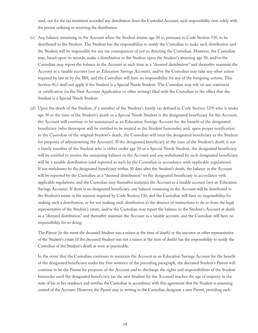used, nor for the tax treatment accorded any distribution from the Custodial Account; such responsibility rests solely with the person ordering or receiving the distribution.

- (c) Any balance remaining in the Account when the Student attains age 30 is, pursuant to Code Section 530, to be distributed to the Student. The Student has the responsibility to notify the Custodian to make such distribution and the Student will be responsible for any tax consequences of not so directing the Custodian. However, the Custodian may, based upon its records, make a distribution to the Student upon the Student's attaining age 30, and/or the Custodian may report the balance in the Account at such time as a "deemed distribution" and thereafter maintain the Account as a taxable account (not an Education Savings Account), and/or the Custodian may take any other action required by law or by the IRS, and the Custodian will have no responsibility for any of the foregoing actions. This Section 9(c) shall not apply if the Student is a Special Needs Student. The Custodian may rely on any statement or certification (in the New Account Application or other writing) filed with the Custodian to the effect that the Student is a Special Needs Student.
- (d) Upon the death of the Student, if a member of the Student's family (as defined in Code Section 529) who is under age 30 at the time of the Student's death or a Special Needs Student is the designated beneficiary for the Account, the Account will continue to be maintained as an Education Savings Account for the benefit of the designated beneficiary (who thereupon will be entitled to be treated as the Student hereunder; and, upon proper notification to the Custodian of the original Student's death, the Custodian will treat the designated beneficiary as the Student for purposes of administering the Account). If the designated beneficiary at the time of the Student's death is not a family member of the Student who is either under age 30 or a Special Needs Student, the designated beneficiary will be entitled to receive the remaining balance in the Account and any withdrawal by such designated beneficiary will be a taxable distribution (and reported as such by the Custodian in accordance with applicable regulations). If not withdrawn by the designated beneficiary within 30 days after the Student's death, the balance in the Account will be reported by the Custodian as a "deemed distribution" to the designated beneficiary in accordance with applicable regulations, and the Custodian may thereafter maintain the Account as a taxable account (not an Education Savings Account). If there is no designated beneficiary, any balance remaining in the Account will be distributed to the Student's estate in the manner required by Code Section 530, and the Custodian will have no responsibility for making such a distribution, or for not making such distribution in the absence of instructions to do so from the legal representative of the Student's estate, and/or the Custodian may report the balance in the Student's Account at death as a "deemed distribution" and thereafter maintain the Account as a taxable account, and the Custodian will have no responsibility for so doing.

 The Parent (in the event the deceased Student was a minor at the time of death) or the executor or other representative of the Student's estate (if the deceased Student was not a minor at the time of death) has the responsibility to notify the Custodian of the Student's death as soon as practicable.

 In the event that the Custodian continues to maintain the Account as an Education Savings Account for the benefit of the designated beneficiary under the first sentence of the preceding paragraph, the deceased Student's Parent will continue to be the Parent for purposes of the Account and to discharge the rights and responsibilities of the Student hereunder until the designated beneficiary (as the new Student for the Account) reaches the age of majority in the state of his or her residence and notifies the Custodian in accordance with this agreement that the Student is assuming control of the Account. However, the Parent may in writing to the Custodian designate a new Parent, providing such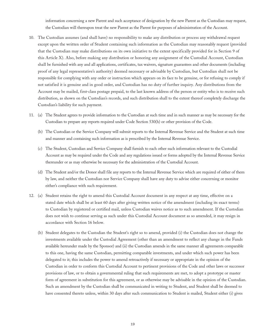information concerning a new Parent and such acceptance of designation by the new Parent as the Custodian may request, the Custodian will thereupon treat the new Parent as the Parent for purposes of administration of the Account.

- 10. The Custodian assumes (and shall have) no responsibility to make any distribution or process any withdrawal request except upon the written order of Student containing such information as the Custodian may reasonably request (provided that the Custodian may make distributions on its own initiative to the extent specifically provided for in Section 9 of this Article X). Also, before making any distribution or honoring any assignment of the Custodial Account, Custodian shall be furnished with any and all applications, certificates, tax waivers, signature guarantees and other documents (including proof of any legal representative's authority) deemed necessary or advisable by Custodian, but Custodian shall not be responsible for complying with any order or instruction which appears on its face to be genuine, or for refusing to comply if not satisfied it is genuine and in good order, and Custodian has no duty of further inquiry. Any distributions from the Account may be mailed, first-class postage prepaid, to the last known address of the person or entity who is to receive such distribution, as shown on the Custodian's records, and such distribution shall to the extent thereof completely discharge the Custodian's liability for such payment.
- 11. (a) The Student agrees to provide information to the Custodian at such time and in such manner as may be necessary for the Custodian to prepare any reports required under Code Section 530(h) or other provision of the Code.
	- (b) The Custodian or the Service Company will submit reports to the Internal Revenue Service and the Student at such time and manner and containing such information as is prescribed by the Internal Revenue Service.
	- (c) The Student, Custodian and Service Company shall furnish to each other such information relevant to the Custodial Account as may be required under the Code and any regulations issued or forms adopted by the Internal Revenue Service thereunder or as may otherwise be necessary for the administration of the Custodial Account.
	- (d) The Student and/or the Donor shall file any reports to the Internal Revenue Service which are required of either of them by law, and neither the Custodian nor Service Company shall have any duty to advise either concerning or monitor either's compliance with such requirement.
- 12. (a) Student retains the right to amend this Custodial Account document in any respect at any time, effective on a stated date which shall be at least 60 days after giving written notice of the amendment (including its exact terms) to Custodian by registered or certified mail, unless Custodian waives notice as to such amendment. If the Custodian does not wish to continue serving as such under this Custodial Account document as so amended, it may resign in accordance with Section 16 below.
	- (b) Student delegates to the Custodian the Student's right so to amend, provided (i) the Custodian does not change the investments available under the Custodial Agreement (other than an amendment to reflect any change in the Funds available hereunder made by the Sponsor) and (ii) the Custodian amends in the same manner all agreements comparable to this one, having the same Custodian, permitting comparable investments, and under which such power has been delegated to it; this includes the power to amend retroactively if necessary or appropriate in the opinion of the Custodian in order to conform this Custodial Account to pertinent provisions of the Code and other laws or successor provisions of law, or to obtain a governmental ruling that such requirements are met, to adopt a prototype or master form of agreement in substitution for this agreement, or as otherwise may be advisable in the opinion of the Custodian. Such an amendment by the Custodian shall be communicated in writing to Student, and Student shall be deemed to have consented thereto unless, within 30 days after such communication to Student is mailed, Student either (i) gives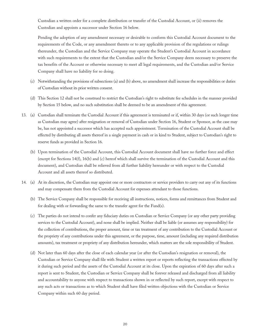Custodian a written order for a complete distribution or transfer of the Custodial Account, or (ii) removes the Custodian and appoints a successor under Section 16 below.

Pending the adoption of any amendment necessary or desirable to conform this Custodial Account document to the requirements of the Code, or any amendment thereto or to any applicable provision of the regulations or rulings thereunder, the Custodian and the Service Company may operate the Student's Custodial Account in accordance with such requirements to the extent that the Custodian and/or the Service Company deem necessary to preserve the tax benefits of the Account or otherwise necessary to meet all legal requirements, and the Custodian and/or Service Company shall have no liability for so doing.

- (c) Notwithstanding the provisions of subsections (a) and (b) above, no amendment shall increase the responsibilities or duties of Custodian without its prior written consent.
- (d) This Section 12 shall not be construed to restrict the Custodian's right to substitute fee schedules in the manner provided by Section 15 below, and no such substitution shall be deemed to be an amendment of this agreement.
- 13. (a) Custodian shall terminate the Custodial Account if this agreement is terminated or if, within 30 days (or such longer time as Custodian may agree) after resignation or removal of Custodian under Section 16, Student or Sponsor, as the case may be, has not appointed a successor which has accepted such appointment. Termination of the Custodial Account shall be effected by distributing all assets thereof in a single payment in cash or in kind to Student, subject to Custodian's right to reserve funds as provided in Section 16.
	- (b) Upon termination of the Custodial Account, this Custodial Account document shall have no further force and effect (except for Sections 14(f), 16(b) and (c) hereof which shall survive the termination of the Custodial Account and this document), and Custodian shall be relieved from all further liability hereunder or with respect to the Custodial Account and all assets thereof so distributed.
- 14. (a) At its discretion, the Custodian may appoint one or more contractors or service providers to carry out any of its functions and may compensate them from the Custodial Account for expenses attendant to those functions.
	- (b) The Service Company shall be responsible for receiving all instructions, notices, forms and remittances from Student and for dealing with or forwarding the same to the transfer agent for the Fund(s).
	- (c) The parties do not intend to confer any fiduciary duties on Custodian or Service Company (or any other party providing services to the Custodial Account), and none shall be implied. Neither shall be liable (or assumes any responsibility) for the collection of contributions, the proper amount, time or tax treatment of any contribution to the Custodial Account or the propriety of any contributions under this agreement, or the purpose, time, amount (including any required distribution amounts), tax treatment or propriety of any distribution hereunder, which matters are the sole responsibility of Student.
	- (d) Not later than 60 days after the close of each calendar year (or after the Custodian's resignation or removal), the Custodian or Service Company shall file with Student a written report or reports reflecting the transactions effected by it during such period and the assets of the Custodial Account at its close. Upon the expiration of 60 days after such a report is sent to Student, the Custodian or Service Company shall be forever released and discharged from all liability and accountability to anyone with respect to transactions shown in or reflected by such report, except with respect to any such acts or transactions as to which Student shall have filed written objections with the Custodian or Service Company within such 60 day period.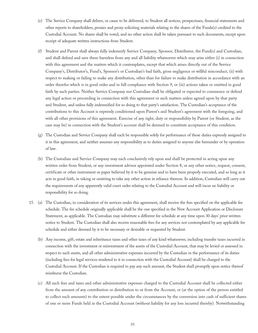- (e) The Service Company shall deliver, or cause to be delivered, to Student all notices, prospectuses, financial statements and other reports to shareholders, proxies and proxy soliciting materials relating to the shares of the Funds(s) credited to the Custodial Account. No shares shall be voted, and no other action shall be taken pursuant to such documents, except upon receipt of adequate written instructions from Student.
- (f) Student and Parent shall always fully indemnify Service Company, Sponsor, Distributor, the Fund(s) and Custodian, and shall defend and save them harmless from any and all liability whatsoever which may arise either (i) in connection with this agreement and the matters which it contemplates, except that which arises directly out of the Service Company's, Distributor's, Fund's, Sponsor's or Custodian's bad faith, gross negligence or willful misconduct, (ii) with respect to making or failing to make any distribution, other than for failure to make distribution in accordance with an order therefor which is in good order and in full compliance with Section 9, or (iii) actions taken or omitted in good faith by such parties. Neither Service Company nor Custodian shall be obligated or expected to commence or defend any legal action or proceeding in connection with this agreement or such matters unless agreed upon by that party and Student, and unless fully indemnified for so doing to that party's satisfaction. The Custodian's acceptance of the contributions to this Account is expressly conditioned upon Parent's and Student's agreement with the foregoing, and with all other provisions of this agreement. Exercise of any right, duty or responsibility by Parent (or Student, as the case may be) in connection with the Student's account shall be deemed to constitute acceptance of this condition.
- (g) The Custodian and Service Company shall each be responsible solely for performance of those duties expressly assigned to it in this agreement, and neither assumes any responsibility as to duties assigned to anyone else hereunder or by operation of law.
- (h) The Custodian and Service Company may each conclusively rely upon and shall be protected in acting upon any written order from Student, or any investment advisor appointed under Section 8, or any other notice, request, consent, certificate or other instrument or paper believed by it to be genuine and to have been properly executed, and so long as it acts in good faith, in taking or omitting to take any other action in reliance thereon. In addition, Custodian will carry out the requirements of any apparently valid court order relating to the Custodial Account and will incur no liability or responsibility for so doing.
- 15. (a) The Custodian, in consideration of its services under this agreement, shall receive the fees specified on the applicable fee schedule. The fee schedule originally applicable shall be the one specified in the New Account Application or Disclosure Statement, as applicable. The Custodian may substitute a different fee schedule at any time upon 30 days' prior written notice to Student. The Custodian shall also receive reasonable fees for any services not contemplated by any applicable fee schedule and either deemed by it to be necessary or desirable or requested by Student.
	- (b) Any income, gift, estate and inheritance taxes and other taxes of any kind whatsoever, including transfer taxes incurred in connection with the investment or reinvestment of the assets of the Custodial Account, that may be levied or assessed in respect to such assets, and all other administrative expenses incurred by the Custodian in the performance of its duties (including fees for legal services rendered to it in connection with the Custodial Account) shall be charged to the Custodial Account. If the Custodian is required to pay any such amount, the Student shall promptly upon notice thereof reimburse the Custodian.
	- (c) All such fees and taxes and other administrative expenses charged to the Custodial Account shall be collected either from the amount of any contribution or distribution to or from the Account, or (at the option of the person entitled to collect such amounts) to the extent possible under the circumstances by the conversion into cash of sufficient shares of one or more Funds held in the Custodial Account (without liability for any loss incurred thereby). Notwithstanding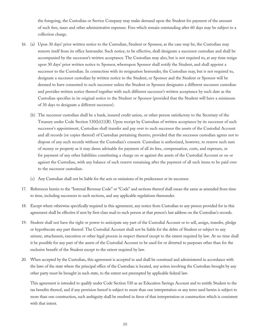the foregoing, the Custodian or Service Company may make demand upon the Student for payment of the amount of such fees, taxes and other administrative expenses. Fees which remain outstanding after 60 days may be subject to a collection charge.

- 16. (a) Upon 30 days' prior written notice to the Custodian, Student or Sponsor, as the case may be, the Custodian may remove itself from its office hereunder. Such notice, to be effective, shall designate a successor custodian and shall be accompanied by the successor's written acceptance. The Custodian may also, but is not required to, at any time resign upon 30 days' prior written notice to Sponsor, whereupon Sponsor shall notify the Student, and shall appoint a successor to the Custodian. In connection with its resignation hereunder, the Custodian may, but is not required to, designate a successor custodian by written notice to the Student, or Sponsor and the Student or Sponsor will be deemed to have consented to such successor unless the Student or Sponsor designates a different successor custodian and provides written notice thereof together with such different successor's written acceptance by such date as the Custodian specifies in its original notice to the Student or Sponsor (provided that the Student will have a minimum of 30 days to designate a different successor).
	- (b) The successor custodian shall be a bank, insured credit union, or other person satisfactory to the Secretary of the Treasury under Code Section 530(b)(1)(B). Upon receipt by Custodian of written acceptance by its successor of such successor's appointment, Custodian shall transfer and pay over to such successor the assets of the Custodial Account and all records (or copies thereof) of Custodian pertaining thereto, provided that the successor custodian agrees not to dispose of any such records without the Custodian's consent. Custodian is authorized, however, to reserve such sum of money or property as it may deem advisable for payment of all its fees, compensation, costs, and expenses, or for payment of any other liabilities constituting a charge on or against the assets of the Custodial Account or on or against the Custodian, with any balance of such reserve remaining after the payment of all such items to be paid over to the successor custodian.
	- (c) Any Custodian shall not be liable for the acts or omissions of its predecessor or its successor.
- 17. References herein to the "Internal Revenue Code" or "Code" and sections thereof shall mean the same as amended from time to time, including successors to such sections, and any applicable regulations thereunder.
- 18. Except where otherwise specifically required in this agreement, any notice from Custodian to any person provided for in this agreement shall be effective if sent by first-class mail to such person at that person's last address on the Custodian's records.
- 19. Student shall not have the right or power to anticipate any part of the Custodial Account or to sell, assign, transfer, pledge or hypothecate any part thereof. The Custodial Account shall not be liable for the debts of Student or subject to any seizure, attachment, execution or other legal process in respect thereof except to the extent required by law. At no time shall it be possible for any part of the assets of the Custodial Account to be used for or diverted to purposes other than for the exclusive benefit of the Student except to the extent required by law.
- 20. When accepted by the Custodian, this agreement is accepted in and shall be construed and administered in accordance with the laws of the state where the principal office of the Custodian is located, any action involving the Custodian brought by any other party must be brought in such state, to the extent not preempted by applicable federal law.

This agreement is intended to qualify under Code Section 530 as an Education Savings Account and to entitle Student to the tax benefits thereof, and if any provision hereof is subject to more than one interpretation or any term used herein is subject to more than one construction, such ambiguity shall be resolved in favor of that interpretation or construction which is consistent with that intent.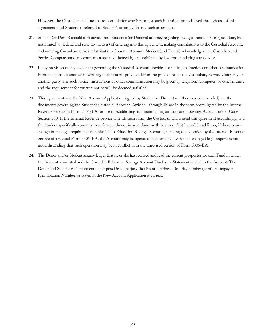However, the Custodian shall not be responsible for whether or not such intentions are achieved through use of this agreement, and Student is referred to Student's attorney for any such assurances.

- 21. Student (or Donor) should seek advice from Student's (or Donor's) attorney regarding the legal consequences (including, but not limited to, federal and state tax matters) of entering into this agreement, making contributions to the Custodial Account, and ordering Custodian to make distributions from the Account. Student (and Donor) acknowledges that Custodian and Service Company (and any company associated therewith) are prohibited by law from rendering such advice.
- 22. If any provision of any document governing the Custodial Account provides for notice, instructions or other communication from one party to another in writing, to the extent provided for in the procedures of the Custodian, Service Company or another party, any such notice, instructions or other communication may be given by telephone, computer, or other means, and the requirement for written notice will be deemed satisfied.
- 23. This agreement and the New Account Application signed by Student or Donor (as either may be amended) are the documents governing the Student's Custodial Account. Articles I through IX are in the form promulgated by the Internal Revenue Service in Form 5305-EA for use in establishing and maintaining an Education Savings Account under Code Section 530. If the Internal Revenue Service amends such form, the Custodian will amend this agreement accordingly, and the Student specifically consents to such amendment in accordance with Section 12(b) hereof. In addition, if there is any change in the legal requirements applicable to Education Savings Accounts, pending the adoption by the Internal Revenue Service of a revised Form 5305-EA, the Account may be operated in accordance with such changed legal requirements, notwithstanding that such operation may be in conflict with the unrevised version of Form 5305-EA.
- 24. The Donor and/or Student acknowledges that he or she has received and read the current prospectus for each Fund in which the Account is invested and the Coverdell Education Savings Account Disclosure Statement related to the Account. The Donor and Student each represent under penalties of perjury that his or her Social Security number (or other Taxpayer Identification Number) as stated in the New Account Application is correct.